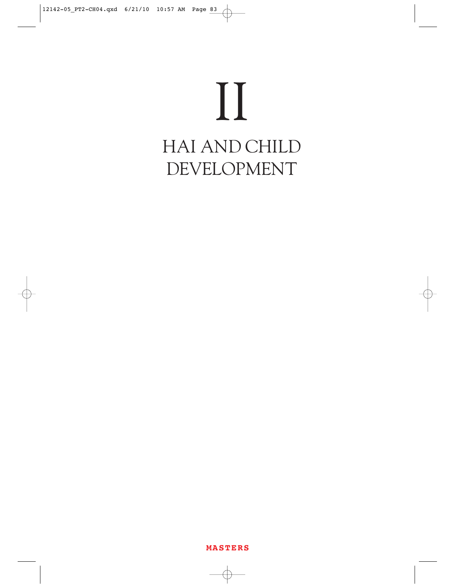# HAI AND CHILD DEVELOPMENT II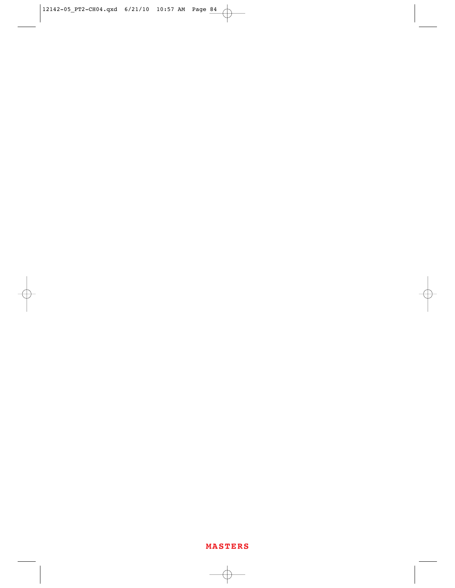**MASTERS**

 $\bigoplus$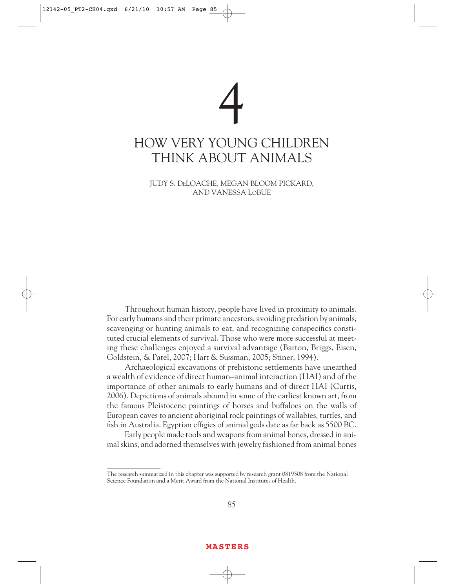# 4

## HOW VERY YOUNG CHILDREN THINK ABOUT ANIMALS

JUDY S. DELOACHE, MEGAN BLOOM PICKARD, AND VANESSA LOBUE

Throughout human history, people have lived in proximity to animals. For early humans and their primate ancestors, avoiding predation by animals, scavenging or hunting animals to eat, and recognizing conspecifics constituted crucial elements of survival. Those who were more successful at meeting these challenges enjoyed a survival advantage (Barton, Briggs, Eisen, Goldstein, & Patel, 2007; Hart & Sussman, 2005; Stiner, 1994).

Archaeological excavations of prehistoric settlements have unearthed a wealth of evidence of direct human–animal interaction (HAI) and of the importance of other animals to early humans and of direct HAI (Curtis, 2006). Depictions of animals abound in some of the earliest known art, from the famous Pleistocene paintings of horses and buffaloes on the walls of European caves to ancient aboriginal rock paintings of wallabies, turtles, and fish in Australia. Egyptian effigies of animal gods date as far back as 5500 BC.

Early people made tools and weapons from animal bones, dressed in animal skins, and adorned themselves with jewelry fashioned from animal bones

The research summarized in this chapter was supported by research grant 0819508 from the National Science Foundation and a Merit Award from the National Institutes of Health.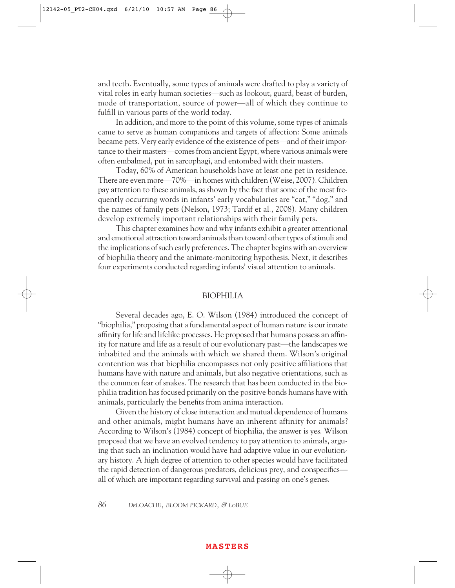and teeth. Eventually, some types of animals were drafted to play a variety of vital roles in early human societies—such as lookout, guard, beast of burden, mode of transportation, source of power—all of which they continue to fulfill in various parts of the world today.

In addition, and more to the point of this volume, some types of animals came to serve as human companions and targets of affection: Some animals became pets. Very early evidence of the existence of pets—and of their importance to their masters—comes from ancient Egypt, where various animals were often embalmed, put in sarcophagi, and entombed with their masters.

Today, 60% of American households have at least one pet in residence. There are even more—70%—in homes with children (Weise, 2007). Children pay attention to these animals, as shown by the fact that some of the most frequently occurring words in infants' early vocabularies are "cat," "dog," and the names of family pets (Nelson, 1973; Tardif et al., 2008). Many children develop extremely important relationships with their family pets.

This chapter examines how and why infants exhibit a greater attentional and emotional attraction toward animals than toward other types of stimuli and the implications of such early preferences. The chapter begins with an overview of biophilia theory and the animate-monitoring hypothesis. Next, it describes four experiments conducted regarding infants' visual attention to animals.

#### BIOPHILIA

Several decades ago, E. O. Wilson (1984) introduced the concept of "biophilia," proposing that a fundamental aspect of human nature is our innate affinity for life and lifelike processes. He proposed that humans possess an affinity for nature and life as a result of our evolutionary past—the landscapes we inhabited and the animals with which we shared them. Wilson's original contention was that biophilia encompasses not only positive affiliations that humans have with nature and animals, but also negative orientations, such as the common fear of snakes. The research that has been conducted in the biophilia tradition has focused primarily on the positive bonds humans have with animals, particularly the benefits from anima interaction.

Given the history of close interaction and mutual dependence of humans and other animals, might humans have an inherent affinity for animals? According to Wilson's (1984) concept of biophilia, the answer is yes. Wilson proposed that we have an evolved tendency to pay attention to animals, arguing that such an inclination would have had adaptive value in our evolutionary history. A high degree of attention to other species would have facilitated the rapid detection of dangerous predators, delicious prey, and conspecifics all of which are important regarding survival and passing on one's genes.

*86 DELOACHE, BLOOM PICKARD, & LOBUE*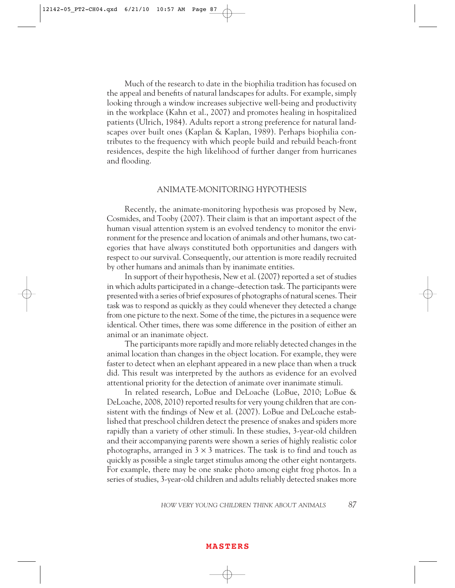Much of the research to date in the biophilia tradition has focused on the appeal and benefits of natural landscapes for adults. For example, simply looking through a window increases subjective well-being and productivity in the workplace (Kahn et al., 2007) and promotes healing in hospitalized patients (Ulrich, 1984). Adults report a strong preference for natural landscapes over built ones (Kaplan & Kaplan, 1989). Perhaps biophilia contributes to the frequency with which people build and rebuild beach-front residences, despite the high likelihood of further danger from hurricanes and flooding.

#### ANIMATE-MONITORING HYPOTHESIS

Recently, the animate-monitoring hypothesis was proposed by New, Cosmides, and Tooby (2007). Their claim is that an important aspect of the human visual attention system is an evolved tendency to monitor the environment for the presence and location of animals and other humans, two categories that have always constituted both opportunities and dangers with respect to our survival. Consequently, our attention is more readily recruited by other humans and animals than by inanimate entities.

In support of their hypothesis, New et al. (2007) reported a set of studies in which adults participated in a change–detection task. The participants were presented with a series of brief exposures of photographs of natural scenes. Their task was to respond as quickly as they could whenever they detected a change from one picture to the next. Some of the time, the pictures in a sequence were identical. Other times, there was some difference in the position of either an animal or an inanimate object.

The participants more rapidly and more reliably detected changes in the animal location than changes in the object location. For example, they were faster to detect when an elephant appeared in a new place than when a truck did. This result was interpreted by the authors as evidence for an evolved attentional priority for the detection of animate over inanimate stimuli.

In related research, LoBue and DeLoache (LoBue, 2010; LoBue & DeLoache, 2008, 2010) reported results for very young children that are consistent with the findings of New et al. (2007). LoBue and DeLoache established that preschool children detect the presence of snakes and spiders more rapidly than a variety of other stimuli. In these studies, 3-year-old children and their accompanying parents were shown a series of highly realistic color photographs, arranged in  $3 \times 3$  matrices. The task is to find and touch as quickly as possible a single target stimulus among the other eight nontargets. For example, there may be one snake photo among eight frog photos. In a series of studies, 3-year-old children and adults reliably detected snakes more

*HOW VERY YOUNG CHILDREN THINK ABOUT ANIMALS 87*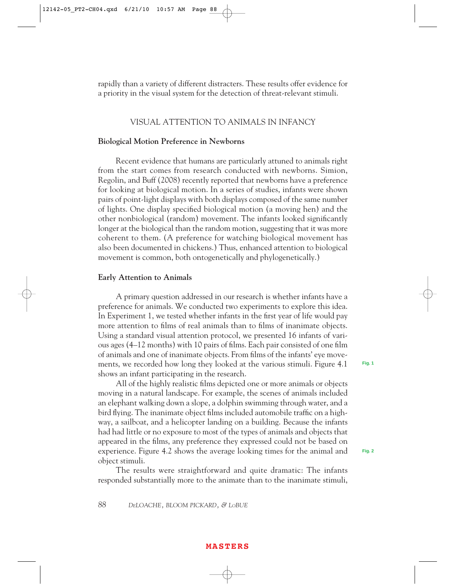rapidly than a variety of different distracters. These results offer evidence for a priority in the visual system for the detection of threat-relevant stimuli.

### VISUAL ATTENTION TO ANIMALS IN INFANCY

#### **Biological Motion Preference in Newborns**

Recent evidence that humans are particularly attuned to animals right from the start comes from research conducted with newborns. Simion, Regolin, and Buff (2008) recently reported that newborns have a preference for looking at biological motion. In a series of studies, infants were shown pairs of point-light displays with both displays composed of the same number of lights. One display specified biological motion (a moving hen) and the other nonbiological (random) movement. The infants looked significantly longer at the biological than the random motion, suggesting that it was more coherent to them. (A preference for watching biological movement has also been documented in chickens.) Thus, enhanced attention to biological movement is common, both ontogenetically and phylogenetically.)

#### **Early Attention to Animals**

A primary question addressed in our research is whether infants have a preference for animals. We conducted two experiments to explore this idea. In Experiment 1, we tested whether infants in the first year of life would pay more attention to films of real animals than to films of inanimate objects. Using a standard visual attention protocol, we presented 16 infants of various ages (4–12 months) with 10 pairs of films. Each pair consisted of one film of animals and one of inanimate objects. From films of the infants' eye movements, we recorded how long they looked at the various stimuli. Figure 4.1 shows an infant participating in the research.

All of the highly realistic films depicted one or more animals or objects moving in a natural landscape. For example, the scenes of animals included an elephant walking down a slope, a dolphin swimming through water, and a bird flying. The inanimate object films included automobile traffic on a highway, a sailboat, and a helicopter landing on a building. Because the infants had had little or no exposure to most of the types of animals and objects that appeared in the films, any preference they expressed could not be based on experience. Figure 4.2 shows the average looking times for the animal and object stimuli.

The results were straightforward and quite dramatic: The infants responded substantially more to the animate than to the inanimate stimuli,

*88 DELOACHE, BLOOM PICKARD, & LOBUE*

**Fig. 2**

**Fig. 1**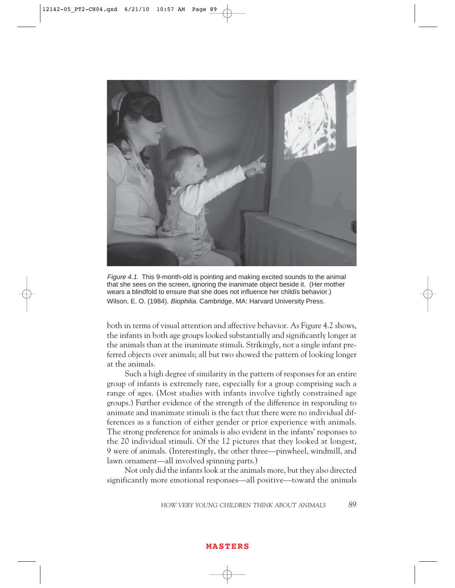

Figure 4.1. This 9-month-old is pointing and making excited sounds to the animal that she sees on the screen, ignoring the inanimate object beside it. (Her mother wears a blindfold to ensure that she does not influence her childís behavior.) Wilson, E. O. (1984). Biophilia. Cambridge, MA: Harvard University Press.

both in terms of visual attention and affective behavior. As Figure 4.2 shows, the infants in both age groups looked substantially and significantly longer at the animals than at the inanimate stimuli. Strikingly, not a single infant preferred objects over animals; all but two showed the pattern of looking longer at the animals.

Such a high degree of similarity in the pattern of responses for an entire group of infants is extremely rare, especially for a group comprising such a range of ages. (Most studies with infants involve tightly constrained age groups.) Further evidence of the strength of the difference in responding to animate and inanimate stimuli is the fact that there were no individual differences as a function of either gender or prior experience with animals. The strong preference for animals is also evident in the infants' responses to the 20 individual stimuli. Of the 12 pictures that they looked at longest, 9 were of animals. (Interestingly, the other three—pinwheel, windmill, and lawn ornament—all involved spinning parts.)

Not only did the infants look at the animals more, but they also directed significantly more emotional responses—all positive—toward the animals

*HOW VERY YOUNG CHILDREN THINK ABOUT ANIMALS 89*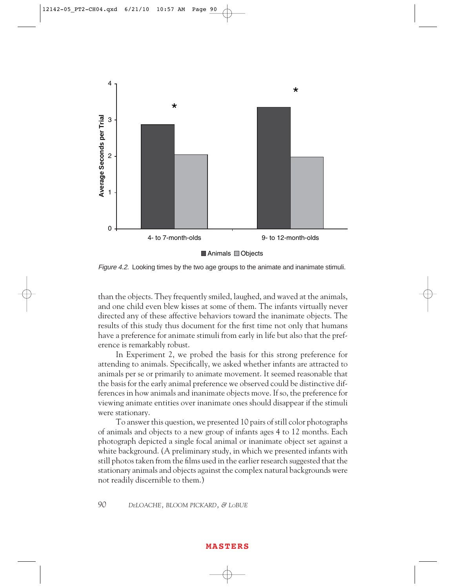

Animals Objects

Figure 4.2. Looking times by the two age groups to the animate and inanimate stimuli.

than the objects. They frequently smiled, laughed, and waved at the animals, and one child even blew kisses at some of them. The infants virtually never directed any of these affective behaviors toward the inanimate objects. The results of this study thus document for the first time not only that humans have a preference for animate stimuli from early in life but also that the preference is remarkably robust.

In Experiment 2, we probed the basis for this strong preference for attending to animals. Specifically, we asked whether infants are attracted to animals per se or primarily to animate movement. It seemed reasonable that the basis for the early animal preference we observed could be distinctive differences in how animals and inanimate objects move. If so, the preference for viewing animate entities over inanimate ones should disappear if the stimuli were stationary.

To answer this question, we presented 10 pairs of still color photographs of animals and objects to a new group of infants ages 4 to 12 months. Each photograph depicted a single focal animal or inanimate object set against a white background. (A preliminary study, in which we presented infants with still photos taken from the films used in the earlier research suggested that the stationary animals and objects against the complex natural backgrounds were not readily discernible to them.)

*90 DELOACHE, BLOOM PICKARD, & LOBUE*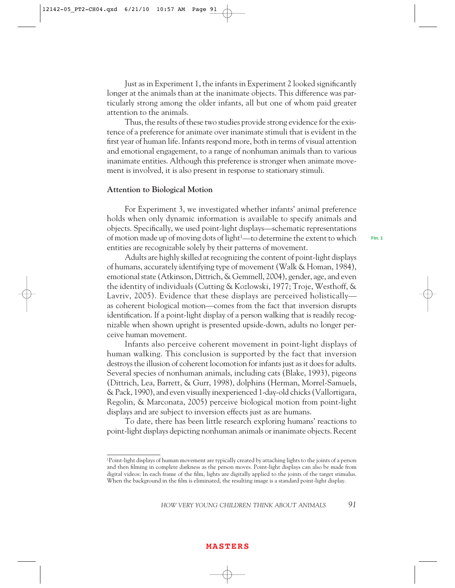Just as in Experiment 1, the infants in Experiment 2 looked significantly longer at the animals than at the inanimate objects. This difference was particularly strong among the older infants, all but one of whom paid greater attention to the animals.

Thus, the results of these two studies provide strong evidence for the existence of a preference for animate over inanimate stimuli that is evident in the first year of human life. Infants respond more, both in terms of visual attention and emotional engagement, to a range of nonhuman animals than to various inanimate entities. Although this preference is stronger when animate movement is involved, it is also present in response to stationary stimuli.

#### **Attention to Biological Motion**

For Experiment 3, we investigated whether infants' animal preference holds when only dynamic information is available to specify animals and objects. Specifically, we used point-light displays—schematic representations of motion made up of moving dots of light<sup>1</sup>—to determine the extent to which entities are recognizable solely by their patterns of movement.

Adults are highly skilled at recognizing the content of point-light displays of humans, accurately identifying type of movement (Walk & Homan, 1984), emotional state (Atkinson, Dittrich, & Gemmell, 2004), gender, age, and even the identity of individuals (Cutting & Kozlowski, 1977; Troje, Westhoff, & Lavriv, 2005). Evidence that these displays are perceived holistically as coherent biological motion—comes from the fact that inversion disrupts identification. If a point-light display of a person walking that is readily recognizable when shown upright is presented upside-down, adults no longer perceive human movement.

Infants also perceive coherent movement in point-light displays of human walking. This conclusion is supported by the fact that inversion destroys the illusion of coherent locomotion for infants just as it does for adults. Several species of nonhuman animals, including cats (Blake, 1993), pigeons (Dittrich, Lea, Barrett, & Gurr, 1998), dolphins (Herman, Morrel-Samuels, & Pack, 1990), and even visually inexperienced 1-day-old chicks (Vallortigara, Regolin, & Marconata, 2005) perceive biological motion from point-light displays and are subject to inversion effects just as are humans.

To date, there has been little research exploring humans' reactions to point-light displays depicting nonhuman animals or inanimate objects. Recent

*HOW VERY YOUNG CHILDREN THINK ABOUT ANIMALS 91*

**Ftn. 1**

<sup>1</sup> Point-light displays of human movement are typically created by attaching lights to the joints of a person and then filming in complete darkness as the person moves. Point-light displays can also be made from digital videos: In each frame of the film, lights are digitally applied to the joints of the target stimulus. When the background in the film is eliminated, the resulting image is a standard point-light display.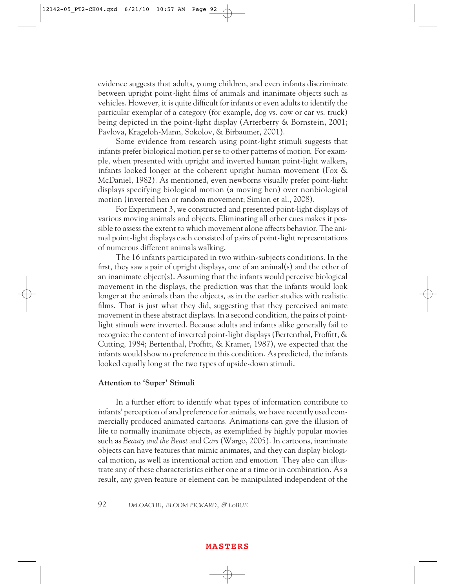evidence suggests that adults, young children, and even infants discriminate between upright point-light films of animals and inanimate objects such as vehicles. However, it is quite difficult for infants or even adults to identify the particular exemplar of a category (for example, dog vs. cow or car vs. truck) being depicted in the point-light display (Arterberry & Bornstein, 2001; Pavlova, Krageloh-Mann, Sokolov, & Birbaumer, 2001).

Some evidence from research using point-light stimuli suggests that infants prefer biological motion per se to other patterns of motion. For example, when presented with upright and inverted human point-light walkers, infants looked longer at the coherent upright human movement (Fox & McDaniel, 1982). As mentioned, even newborns visually prefer point-light displays specifying biological motion (a moving hen) over nonbiological motion (inverted hen or random movement; Simion et al., 2008).

For Experiment 3, we constructed and presented point-light displays of various moving animals and objects. Eliminating all other cues makes it possible to assess the extent to which movement alone affects behavior. The animal point-light displays each consisted of pairs of point-light representations of numerous different animals walking.

The 16 infants participated in two within-subjects conditions. In the first, they saw a pair of upright displays, one of an animal(s) and the other of an inanimate object(s). Assuming that the infants would perceive biological movement in the displays, the prediction was that the infants would look longer at the animals than the objects, as in the earlier studies with realistic films. That is just what they did, suggesting that they perceived animate movement in these abstract displays. In a second condition, the pairs of pointlight stimuli were inverted. Because adults and infants alike generally fail to recognize the content of inverted point-light displays (Bertenthal, Proffitt, & Cutting, 1984; Bertenthal, Proffitt, & Kramer, 1987), we expected that the infants would show no preference in this condition. As predicted, the infants looked equally long at the two types of upside-down stimuli.

#### **Attention to 'Super' Stimuli**

In a further effort to identify what types of information contribute to infants' perception of and preference for animals, we have recently used commercially produced animated cartoons. Animations can give the illusion of life to normally inanimate objects, as exemplified by highly popular movies such as *Beauty and the Beast* and *Cars* (Wargo, 2005). In cartoons, inanimate objects can have features that mimic animates, and they can display biological motion, as well as intentional action and emotion. They also can illustrate any of these characteristics either one at a time or in combination. As a result, any given feature or element can be manipulated independent of the

*92 DELOACHE, BLOOM PICKARD, & LOBUE*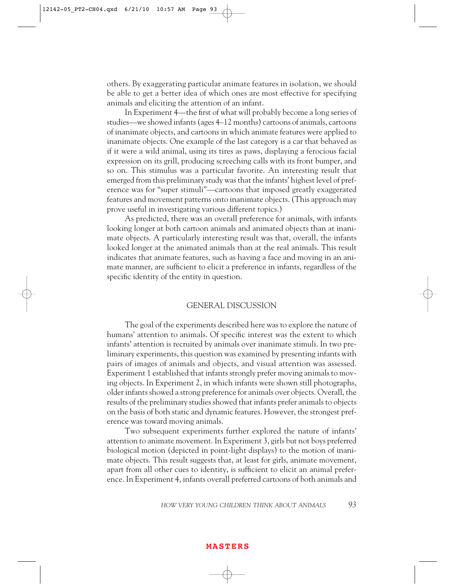others. By exaggerating particular animate features in isolation, we should be able to get a better idea of which ones are most effective for specifying animals and eliciting the attention of an infant.

In Experiment 4—the first of what will probably become a long series of studies—we showed infants (ages 4–12 months) cartoons of animals, cartoons of inanimate objects, and cartoons in which animate features were applied to inanimate objects. One example of the last category is a car that behaved as if it were a wild animal, using its tires as paws, displaying a ferocious facial expression on its grill, producing screeching calls with its front bumper, and so on. This stimulus was a particular favorite. An interesting result that emerged from this preliminary study was that the infants' highest level of preference was for "super stimuli"—cartoons that imposed greatly exaggerated features and movement patterns onto inanimate objects. (This approach may prove useful in investigating various different topics.)

As predicted, there was an overall preference for animals, with infants looking longer at both cartoon animals and animated objects than at inanimate objects. A particularly interesting result was that, overall, the infants looked longer at the animated animals than at the real animals. This result indicates that animate features, such as having a face and moving in an animate manner, are sufficient to elicit a preference in infants, regardless of the specific identity of the entity in question.

#### GENERAL DISCUSSION

The goal of the experiments described here was to explore the nature of humans' attention to animals. Of specific interest was the extent to which infants' attention is recruited by animals over inanimate stimuli. In two preliminary experiments, this question was examined by presenting infants with pairs of images of animals and objects, and visual attention was assessed. Experiment 1 established that infants strongly prefer moving animals to moving objects. In Experiment 2, in which infants were shown still photographs, older infants showed a strong preference for animals over objects. Overall, the results of the preliminary studies showed that infants prefer animals to objects on the basis of both static and dynamic features. However, the strongest preference was toward moving animals.

Two subsequent experiments further explored the nature of infants' attention to animate movement. In Experiment 3, girls but not boys preferred biological motion (depicted in point-light displays) to the motion of inanimate objects. This result suggests that, at least for girls, animate movement, apart from all other cues to identity, is sufficient to elicit an animal preference. In Experiment 4, infants overall preferred cartoons of both animals and

*HOW VERY YOUNG CHILDREN THINK ABOUT ANIMALS 93*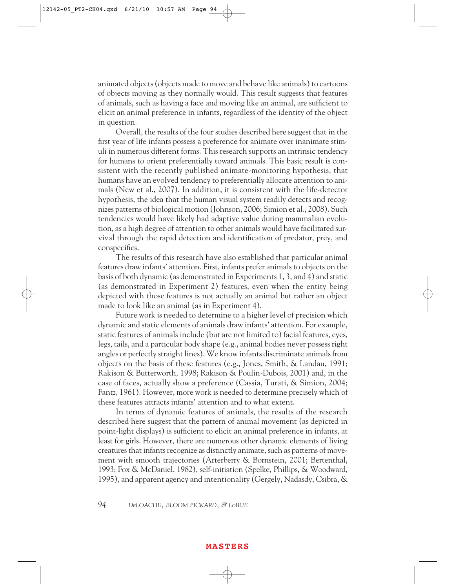animated objects (objects made to move and behave like animals) to cartoons of objects moving as they normally would. This result suggests that features of animals, such as having a face and moving like an animal, are sufficient to elicit an animal preference in infants, regardless of the identity of the object in question.

Overall, the results of the four studies described here suggest that in the first year of life infants possess a preference for animate over inanimate stimuli in numerous different forms. This research supports an intrinsic tendency for humans to orient preferentially toward animals. This basic result is consistent with the recently published animate-monitoring hypothesis, that humans have an evolved tendency to preferentially allocate attention to animals (New et al., 2007). In addition, it is consistent with the life-detector hypothesis, the idea that the human visual system readily detects and recognizes patterns of biological motion (Johnson, 2006; Simion et al., 2008). Such tendencies would have likely had adaptive value during mammalian evolution, as a high degree of attention to other animals would have facilitated survival through the rapid detection and identification of predator, prey, and conspecifics.

The results of this research have also established that particular animal features draw infants' attention. First, infants prefer animals to objects on the basis of both dynamic (as demonstrated in Experiments 1, 3, and 4) and static (as demonstrated in Experiment 2) features, even when the entity being depicted with those features is not actually an animal but rather an object made to look like an animal (as in Experiment 4).

Future work is needed to determine to a higher level of precision which dynamic and static elements of animals draw infants' attention. For example, static features of animals include (but are not limited to) facial features, eyes, legs, tails, and a particular body shape (e.g., animal bodies never possess right angles or perfectly straight lines). We know infants discriminate animals from objects on the basis of these features (e.g., Jones, Smith, & Landau, 1991; Rakison & Butterworth, 1998; Rakison & Poulin-Dubois, 2001) and, in the case of faces, actually show a preference (Cassia, Turati, & Simion, 2004; Fantz, 1961). However, more work is needed to determine precisely which of these features attracts infants' attention and to what extent.

In terms of dynamic features of animals, the results of the research described here suggest that the pattern of animal movement (as depicted in point-light displays) is sufficient to elicit an animal preference in infants, at least for girls. However, there are numerous other dynamic elements of living creatures that infants recognize as distinctly animate, such as patterns of movement with smooth trajectories (Arterberry & Bornstein, 2001; Bertenthal, 1993; Fox & McDaniel, 1982), self-initiation (Spelke, Phillips, & Woodward, 1995), and apparent agency and intentionality (Gergely, Nadasdy, Csibra, &

*94 DELOACHE, BLOOM PICKARD, & LOBUE*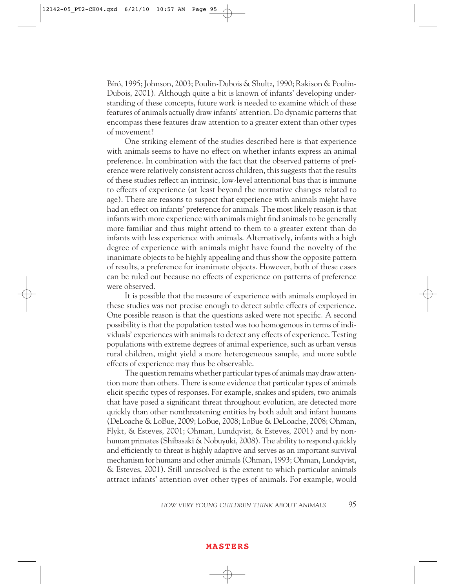Bíró, 1995; Johnson, 2003; Poulin-Dubois & Shultz, 1990; Rakison & Poulin-Dubois, 2001). Although quite a bit is known of infants' developing understanding of these concepts, future work is needed to examine which of these features of animals actually draw infants' attention. Do dynamic patterns that encompass these features draw attention to a greater extent than other types of movement?

One striking element of the studies described here is that experience with animals seems to have no effect on whether infants express an animal preference. In combination with the fact that the observed patterns of preference were relatively consistent across children, this suggests that the results of these studies reflect an intrinsic, low-level attentional bias that is immune to effects of experience (at least beyond the normative changes related to age). There are reasons to suspect that experience with animals might have had an effect on infants' preference for animals. The most likely reason is that infants with more experience with animals might find animals to be generally more familiar and thus might attend to them to a greater extent than do infants with less experience with animals. Alternatively, infants with a high degree of experience with animals might have found the novelty of the inanimate objects to be highly appealing and thus show the opposite pattern of results, a preference for inanimate objects. However, both of these cases can be ruled out because no effects of experience on patterns of preference were observed.

It is possible that the measure of experience with animals employed in these studies was not precise enough to detect subtle effects of experience. One possible reason is that the questions asked were not specific. A second possibility is that the population tested was too homogenous in terms of individuals' experiences with animals to detect any effects of experience. Testing populations with extreme degrees of animal experience, such as urban versus rural children, might yield a more heterogeneous sample, and more subtle effects of experience may thus be observable.

The question remains whether particular types of animals may draw attention more than others. There is some evidence that particular types of animals elicit specific types of responses. For example, snakes and spiders, two animals that have posed a significant threat throughout evolution, are detected more quickly than other nonthreatening entities by both adult and infant humans (DeLoache & LoBue, 2009; LoBue, 2008; LoBue & DeLoache, 2008; Ohman, Flykt, & Esteves, 2001; Ohman, Lundqvist, & Esteves, 2001) and by nonhuman primates (Shibasaki & Nobuyuki, 2008). The ability to respond quickly and efficiently to threat is highly adaptive and serves as an important survival mechanism for humans and other animals (Ohman, 1993; Ohman, Lundqvist, & Esteves, 2001). Still unresolved is the extent to which particular animals attract infants' attention over other types of animals. For example, would

*HOW VERY YOUNG CHILDREN THINK ABOUT ANIMALS 95*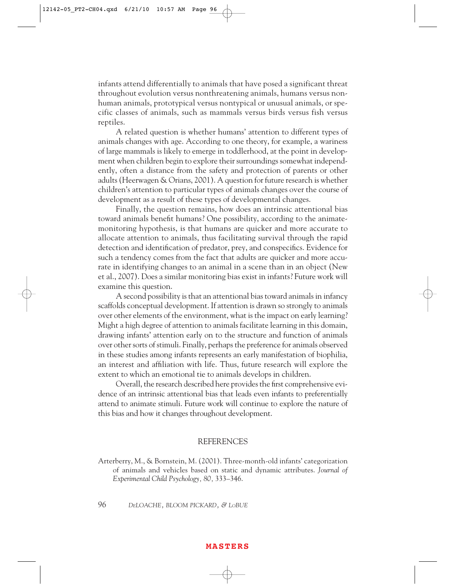infants attend differentially to animals that have posed a significant threat throughout evolution versus nonthreatening animals, humans versus nonhuman animals, prototypical versus nontypical or unusual animals, or specific classes of animals, such as mammals versus birds versus fish versus reptiles.

A related question is whether humans' attention to different types of animals changes with age. According to one theory, for example, a wariness of large mammals is likely to emerge in toddlerhood, at the point in development when children begin to explore their surroundings somewhat independently, often a distance from the safety and protection of parents or other adults (Heerwagen & Orians, 2001). A question for future research is whether children's attention to particular types of animals changes over the course of development as a result of these types of developmental changes.

Finally, the question remains, how does an intrinsic attentional bias toward animals benefit humans? One possibility, according to the animatemonitoring hypothesis, is that humans are quicker and more accurate to allocate attention to animals, thus facilitating survival through the rapid detection and identification of predator, prey, and conspecifics. Evidence for such a tendency comes from the fact that adults are quicker and more accurate in identifying changes to an animal in a scene than in an object (New et al., 2007). Does a similar monitoring bias exist in infants? Future work will examine this question.

A second possibility is that an attentional bias toward animals in infancy scaffolds conceptual development. If attention is drawn so strongly to animals over other elements of the environment, what is the impact on early learning? Might a high degree of attention to animals facilitate learning in this domain, drawing infants' attention early on to the structure and function of animals over other sorts of stimuli. Finally, perhaps the preference for animals observed in these studies among infants represents an early manifestation of biophilia, an interest and affiliation with life. Thus, future research will explore the extent to which an emotional tie to animals develops in children.

Overall, the research described here provides the first comprehensive evidence of an intrinsic attentional bias that leads even infants to preferentially attend to animate stimuli. Future work will continue to explore the nature of this bias and how it changes throughout development.

### **REFERENCES**

Arterberry, M., & Bornstein, M. (2001). Three-month-old infants' categorization of animals and vehicles based on static and dynamic attributes. *Journal of Experimental Child Psychology, 80,* 333–346.

*96 DELOACHE, BLOOM PICKARD, & LOBUE*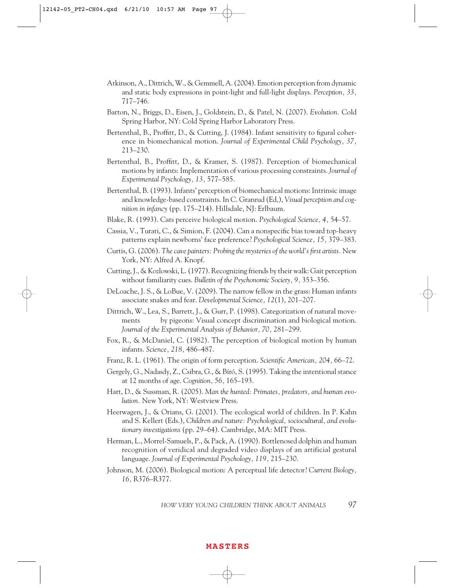- Atkinson, A., Dittrich, W., & Gemmell, A. (2004). Emotion perception from dynamic and static body expressions in point-light and full-light displays. *Perception, 33,* 717–746.
- Barton, N., Briggs, D., Eisen, J., Goldstein, D., & Patel, N. (2007). *Evolution.* Cold Spring Harbor, NY: Cold Spring Harbor Laboratory Press.
- Bertenthal, B., Proffitt, D., & Cutting, J. (1984). Infant sensitivity to figural coherence in biomechanical motion. *Journal of Experimental Child Psychology, 37,* 213–230.
- Bertenthal, B., Proffitt, D., & Kramer, S. (1987). Perception of biomechanical motions by infants: Implementation of various processing constraints. *Journal of Experimental Psychology, 13,* 577–585.
- Bertenthal, B. (1993). Infants' perception of biomechanical motions: Intrinsic image and knowledge-based constraints. In C. Granrud (Ed,), *Visual perception and cognition in infancy* (pp. 175–214). Hillsdale, NJ: Erlbaum.
- Blake, R. (1993). Cats perceive biological motion. *Psychological Science, 4,* 54–57.
- Cassia, V., Turati, C., & Simion, F. (2004). Can a nonspecific bias toward top-heavy patterns explain newborns' face preference? *Psychological Science, 15,* 379–383.
- Curtis, G. (2006). *The cave painters: Probing the mysteries of the world's first artists.* New York, NY: Alfred A. Knopf.
- Cutting, J., & Kozlowski, L. (1977). Recognizing friends by their walk: Gait perception without familiarity cues. *Bulletin of the Psychonomic Society, 9,* 353–356.
- DeLoache, J. S., & LoBue, V. (2009). The narrow fellow in the grass: Human infants associate snakes and fear. *Developmental Science, 12*(1), 201–207.
- Dittrich, W., Lea, S., Barrett, J., & Gurr, P. (1998). Categorization of natural movements by pigeons: Visual concept discrimination and biological motion. *Journal of the Experimental Analysis of Behavior, 70,* 281–299.
- Fox, R., & McDaniel, C. (1982). The perception of biological motion by human infants. *Science, 218,* 486–487.
- Franz, R. L. (1961). The origin of form perception. *Scientific American, 204,* 66–72.
- Gergely, G., Nadasdy, Z., Csibra, G., & Bíró, S. (1995). Taking the intentional stance at 12 months of age. *Cognition, 56,* 165–193.
- Hart, D., & Sussman, R. (2005). *Man the hunted: Primates, predators, and human evolution.* New York, NY: Westview Press.
- Heerwagen, J., & Orians, G. (2001). The ecological world of children. In P. Kahn and S. Kellert (Eds.), *Children and nature: Psychological, sociocultural, and evolutionary investigations* (pp. 29–64). Cambridge, MA: MIT Press.
- Herman, L., Morrel-Samuels, P., & Pack, A. (1990). Bottlenosed dolphin and human recognition of veridical and degraded video displays of an artificial gestural language. *Journal of Experimental Psychology, 119,* 215–230.
- Johnson, M. (2006). Biological motion: A perceptual life detector? *Current Biology, 16,* R376–R377.

*HOW VERY YOUNG CHILDREN THINK ABOUT ANIMALS 97*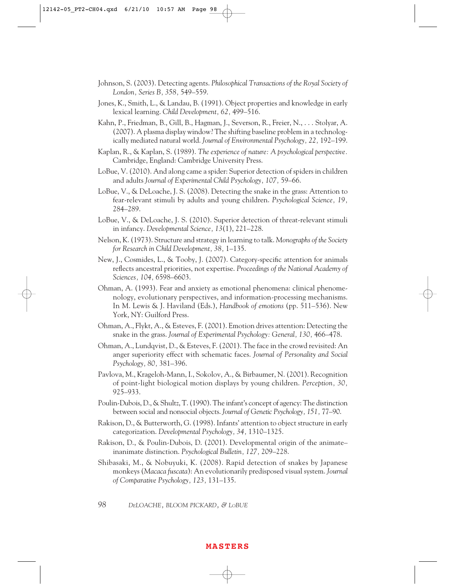- Johnson, S. (2003). Detecting agents. *Philosophical Transactions of the Royal Society of London, Series B, 358,* 549–559.
- Jones, K., Smith, L., & Landau, B. (1991). Object properties and knowledge in early lexical learning. *Child Development, 62,* 499–516.
- Kahn, P., Friedman, B., Gill, B., Hagman, J., Severson, R., Freier, N., . . . Stolyar, A. (2007). A plasma display window? The shifting baseline problem in a technologically mediated natural world. *Journal of Environmental Psychology, 22,* 192–199.
- Kaplan, R., & Kaplan, S. (1989). *The experience of nature: A psychological perspective.* Cambridge, England: Cambridge University Press.
- LoBue, V. (2010). And along came a spider: Superior detection of spiders in children and adults *Journal of Experimental Child Psychology, 107,* 59–66.
- LoBue, V., & DeLoache, J. S. (2008). Detecting the snake in the grass: Attention to fear-relevant stimuli by adults and young children. *Psychological Science, 19,* 284–289.
- LoBue, V., & DeLoache, J. S. (2010). Superior detection of threat-relevant stimuli in infancy. *Developmental Science, 13*(1), 221–228.
- Nelson, K. (1973). Structure and strategy in learning to talk. *Monographs of the Society for Research in Child Development, 38,* 1–135.
- New, J., Cosmides, L., & Tooby, J. (2007). Category-specific attention for animals reflects ancestral priorities, not expertise. *Proceedings of the National Academy of Sciences, 104,* 6598–6603.
- Ohman, A. (1993). Fear and anxiety as emotional phenomena: clinical phenomenology, evolutionary perspectives, and information-processing mechanisms. In M. Lewis & J. Haviland (Eds.), *Handbook of emotions* (pp. 511–536). New York, NY: Guilford Press.
- Ohman, A., Flykt, A., & Esteves, F. (2001). Emotion drives attention: Detecting the snake in the grass. *Journal of Experimental Psychology: General, 130,* 466–478.
- Ohman, A., Lundqvist, D., & Esteves, F. (2001). The face in the crowd revisited: An anger superiority effect with schematic faces. *Journal of Personality and Social Psychology, 80,* 381–396.
- Pavlova, M., Krageloh-Mann, I., Sokolov, A., & Birbaumer, N. (2001). Recognition of point-light biological motion displays by young children. *Perception, 30,* 925–933.
- Poulin-Dubois, D., & Shultz, T. (1990). The infant's concept of agency: The distinction between social and nonsocial objects. *Journal of Genetic Psychology, 151,* 77–90.
- Rakison, D., & Butterworth, G. (1998). Infants' attention to object structure in early categorization. *Developmental Psychology, 34,* 1310–1325.
- Rakison, D., & Poulin-Dubois, D. (2001). Developmental origin of the animate– inanimate distinction. *Psychological Bulletin, 127,* 209–228.
- Shibasaki, M., & Nobuyuki, K. (2008). Rapid detection of snakes by Japanese monkeys (*Macaca fuscata*): An evolutionarily predisposed visual system. *Journal of Comparative Psychology, 123,* 131–135.

*98 DELOACHE, BLOOM PICKARD, & LOBUE*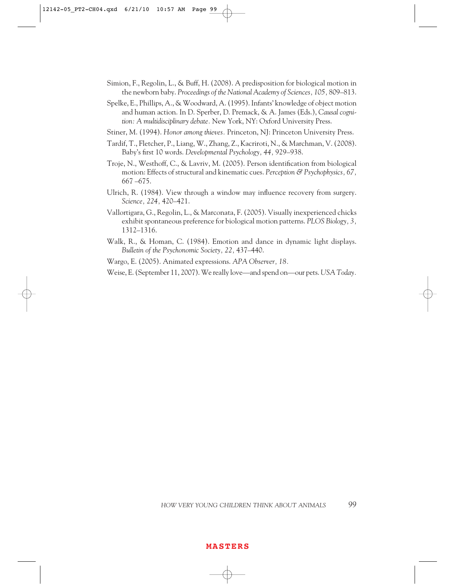- Simion, F., Regolin, L., & Buff, H. (2008). A predisposition for biological motion in the newborn baby. *Proceedings of the National Academy of Sciences, 105,* 809–813.
- Spelke, E., Phillips, A., & Woodward, A. (1995). Infants' knowledge of object motion and human action. In D. Sperber, D. Premack, & A. James (Eds.), *Causal cognition: A multidisciplinary debate.* New York, NY: Oxford University Press.
- Stiner, M. (1994). *Honor among thieves.* Princeton, NJ: Princeton University Press.
- Tardif, T., Fletcher, P., Liang, W., Zhang, Z., Kacriroti, N., & Marchman, V. (2008). Baby's first 10 words. *Developmental Psychology, 44,* 929–938.
- Troje, N., Westhoff, C., & Lavriv, M. (2005). Person identification from biological motion: Effects of structural and kinematic cues. *Perception & Psychophysics, 67,* 667 –675.
- Ulrich, R. (1984). View through a window may influence recovery from surgery. *Science, 224,* 420–421.
- Vallortigara, G., Regolin, L., & Marconata, F. (2005). Visually inexperienced chicks exhibit spontaneous preference for biological motion patterns. *PLOS Biology, 3,* 1312–1316.
- Walk, R., & Homan, C. (1984). Emotion and dance in dynamic light displays. *Bulletin of the Psychonomic Society, 22,* 437–440.

Wargo, E. (2005). Animated expressions. *APA Observer, 18.*

Weise, E. (September 11, 2007). We really love—and spend on—our pets. *USA Today.*

#### *HOW VERY YOUNG CHILDREN THINK ABOUT ANIMALS 99*